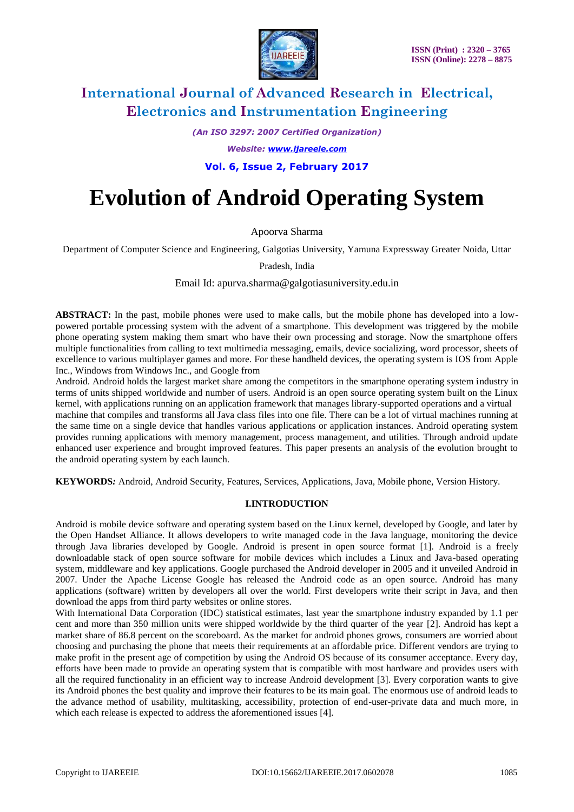

*(An ISO 3297: 2007 Certified Organization)*

*Website: [www.ijareeie.com](http://www.ijareeie.com/)*

**Vol. 6, Issue 2, February 2017**

# **Evolution of Android Operating System**

Apoorva Sharma

Department of Computer Science and Engineering, Galgotias University, Yamuna Expressway Greater Noida, Uttar

Pradesh, India

Email Id: apurva.sharma@galgotiasuniversity.edu.in

**ABSTRACT:** In the past, mobile phones were used to make calls, but the mobile phone has developed into a lowpowered portable processing system with the advent of a smartphone. This development was triggered by the mobile phone operating system making them smart who have their own processing and storage. Now the smartphone offers multiple functionalities from calling to text multimedia messaging, emails, device socializing, word processor, sheets of excellence to various multiplayer games and more. For these handheld devices, the operating system is IOS from Apple Inc., Windows from Windows Inc., and Google from

Android. Android holds the largest market share among the competitors in the smartphone operating system industry in terms of units shipped worldwide and number of users. Android is an open source operating system built on the Linux kernel, with applications running on an application framework that manages library-supported operations and a virtual machine that compiles and transforms all Java class files into one file. There can be a lot of virtual machines running at the same time on a single device that handles various applications or application instances. Android operating system provides running applications with memory management, process management, and utilities. Through android update enhanced user experience and brought improved features. This paper presents an analysis of the evolution brought to the android operating system by each launch.

**KEYWORDS***:* Android, Android Security, Features, Services, Applications, Java, Mobile phone, Version History.

### **I.INTRODUCTION**

Android is mobile device software and operating system based on the Linux kernel, developed by Google, and later by the Open Handset Alliance. It allows developers to write managed code in the Java language, monitoring the device through Java libraries developed by Google. Android is present in open source format [1]. Android is a freely downloadable stack of open source software for mobile devices which includes a Linux and Java-based operating system, middleware and key applications. Google purchased the Android developer in 2005 and it unveiled Android in 2007. Under the Apache License Google has released the Android code as an open source. Android has many applications (software) written by developers all over the world. First developers write their script in Java, and then download the apps from third party websites or online stores.

With International Data Corporation (IDC) statistical estimates, last year the smartphone industry expanded by 1.1 per cent and more than 350 million units were shipped worldwide by the third quarter of the year [2]. Android has kept a market share of 86.8 percent on the scoreboard. As the market for android phones grows, consumers are worried about choosing and purchasing the phone that meets their requirements at an affordable price. Different vendors are trying to make profit in the present age of competition by using the Android OS because of its consumer acceptance. Every day, efforts have been made to provide an operating system that is compatible with most hardware and provides users with all the required functionality in an efficient way to increase Android development [3]. Every corporation wants to give its Android phones the best quality and improve their features to be its main goal. The enormous use of android leads to the advance method of usability, multitasking, accessibility, protection of end-user-private data and much more, in which each release is expected to address the aforementioned issues [4].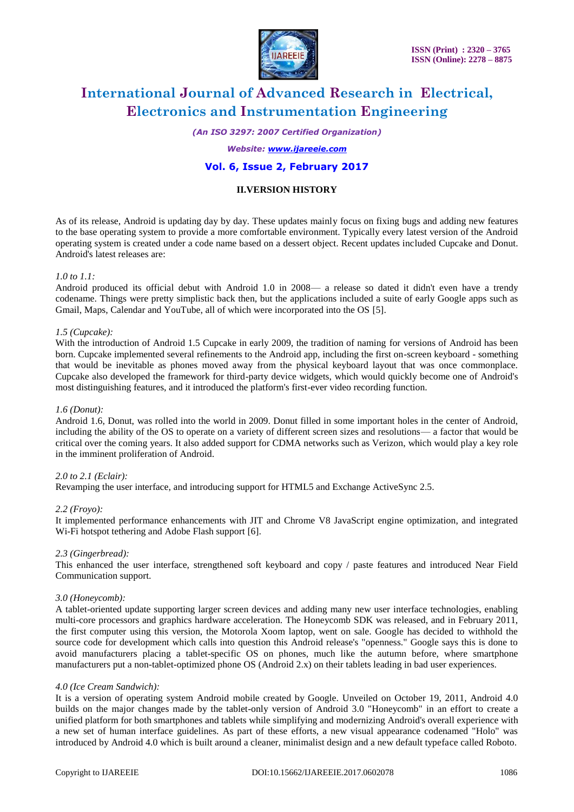

*(An ISO 3297: 2007 Certified Organization)*

#### *Website: [www.ijareeie.com](http://www.ijareeie.com/)*

### **Vol. 6, Issue 2, February 2017**

### **II.VERSION HISTORY**

As of its release, Android is updating day by day. These updates mainly focus on fixing bugs and adding new features to the base operating system to provide a more comfortable environment. Typically every latest version of the Android operating system is created under a code name based on a dessert object. Recent updates included Cupcake and Donut. Android's latest releases are:

#### *1.0 to 1.1:*

Android produced its official debut with Android 1.0 in 2008— a release so dated it didn't even have a trendy codename. Things were pretty simplistic back then, but the applications included a suite of early Google apps such as Gmail, Maps, Calendar and YouTube, all of which were incorporated into the OS [5].

#### *1.5 (Cupcake):*

With the introduction of Android 1.5 Cupcake in early 2009, the tradition of naming for versions of Android has been born. Cupcake implemented several refinements to the Android app, including the first on-screen keyboard - something that would be inevitable as phones moved away from the physical keyboard layout that was once commonplace. Cupcake also developed the framework for third-party device widgets, which would quickly become one of Android's most distinguishing features, and it introduced the platform's first-ever video recording function.

#### *1.6 (Donut):*

Android 1.6, Donut, was rolled into the world in 2009. Donut filled in some important holes in the center of Android, including the ability of the OS to operate on a variety of different screen sizes and resolutions— a factor that would be critical over the coming years. It also added support for CDMA networks such as Verizon, which would play a key role in the imminent proliferation of Android.

#### *2.0 to 2.1 (Eclair):*

Revamping the user interface, and introducing support for HTML5 and Exchange ActiveSync 2.5.

#### *2.2 (Froyo):*

It implemented performance enhancements with JIT and Chrome V8 JavaScript engine optimization, and integrated Wi-Fi hotspot tethering and Adobe Flash support [6].

#### *2.3 (Gingerbread):*

This enhanced the user interface, strengthened soft keyboard and copy / paste features and introduced Near Field Communication support.

#### *3.0 (Honeycomb):*

A tablet-oriented update supporting larger screen devices and adding many new user interface technologies, enabling multi-core processors and graphics hardware acceleration. The Honeycomb SDK was released, and in February 2011, the first computer using this version, the Motorola Xoom laptop, went on sale. Google has decided to withhold the source code for development which calls into question this Android release's "openness." Google says this is done to avoid manufacturers placing a tablet-specific OS on phones, much like the autumn before, where smartphone manufacturers put a non-tablet-optimized phone OS (Android 2.x) on their tablets leading in bad user experiences.

#### *4.0 (Ice Cream Sandwich):*

It is a version of operating system Android mobile created by Google. Unveiled on October 19, 2011, Android 4.0 builds on the major changes made by the tablet-only version of Android 3.0 "Honeycomb" in an effort to create a unified platform for both smartphones and tablets while simplifying and modernizing Android's overall experience with a new set of human interface guidelines. As part of these efforts, a new visual appearance codenamed "Holo" was introduced by Android 4.0 which is built around a cleaner, minimalist design and a new default typeface called Roboto.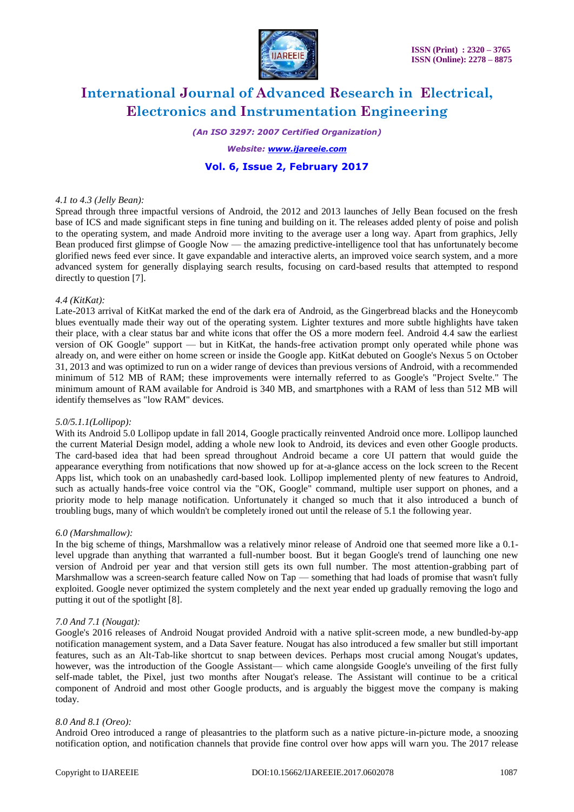

*(An ISO 3297: 2007 Certified Organization)*

#### *Website: [www.ijareeie.com](http://www.ijareeie.com/)*

### **Vol. 6, Issue 2, February 2017**

#### *4.1 to 4.3 (Jelly Bean):*

Spread through three impactful versions of Android, the 2012 and 2013 launches of Jelly Bean focused on the fresh base of ICS and made significant steps in fine tuning and building on it. The releases added plenty of poise and polish to the operating system, and made Android more inviting to the average user a long way. Apart from graphics, Jelly Bean produced first glimpse of Google Now — the amazing predictive-intelligence tool that has unfortunately become glorified news feed ever since. It gave expandable and interactive alerts, an improved voice search system, and a more advanced system for generally displaying search results, focusing on card-based results that attempted to respond directly to question [7].

#### *4.4 (KitKat):*

Late-2013 arrival of KitKat marked the end of the dark era of Android, as the Gingerbread blacks and the Honeycomb blues eventually made their way out of the operating system. Lighter textures and more subtle highlights have taken their place, with a clear status bar and white icons that offer the OS a more modern feel. Android 4.4 saw the earliest version of OK Google" support — but in KitKat, the hands-free activation prompt only operated while phone was already on, and were either on home screen or inside the Google app. KitKat debuted on Google's Nexus 5 on October 31, 2013 and was optimized to run on a wider range of devices than previous versions of Android, with a recommended minimum of 512 MB of RAM; these improvements were internally referred to as Google's "Project Svelte." The minimum amount of RAM available for Android is 340 MB, and smartphones with a RAM of less than 512 MB will identify themselves as "low RAM" devices.

#### *5.0/5.1.1(Lollipop):*

With its Android 5.0 Lollipop update in fall 2014, Google practically reinvented Android once more. Lollipop launched the current Material Design model, adding a whole new look to Android, its devices and even other Google products. The card-based idea that had been spread throughout Android became a core UI pattern that would guide the appearance everything from notifications that now showed up for at-a-glance access on the lock screen to the Recent Apps list, which took on an unabashedly card-based look. Lollipop implemented plenty of new features to Android, such as actually hands-free voice control via the "OK, Google" command, multiple user support on phones, and a priority mode to help manage notification. Unfortunately it changed so much that it also introduced a bunch of troubling bugs, many of which wouldn't be completely ironed out until the release of 5.1 the following year.

#### *6.0 (Marshmallow):*

In the big scheme of things, Marshmallow was a relatively minor release of Android one that seemed more like a 0.1 level upgrade than anything that warranted a full-number boost. But it began Google's trend of launching one new version of Android per year and that version still gets its own full number. The most attention-grabbing part of Marshmallow was a screen-search feature called Now on Tap — something that had loads of promise that wasn't fully exploited. Google never optimized the system completely and the next year ended up gradually removing the logo and putting it out of the spotlight [8].

#### *7.0 And 7.1 (Nougat):*

Google's 2016 releases of Android Nougat provided Android with a native split-screen mode, a new bundled-by-app notification management system, and a Data Saver feature. Nougat has also introduced a few smaller but still important features, such as an Alt-Tab-like shortcut to snap between devices. Perhaps most crucial among Nougat's updates, however, was the introduction of the Google Assistant— which came alongside Google's unveiling of the first fully self-made tablet, the Pixel, just two months after Nougat's release. The Assistant will continue to be a critical component of Android and most other Google products, and is arguably the biggest move the company is making today.

#### *8.0 And 8.1 (Oreo):*

Android Oreo introduced a range of pleasantries to the platform such as a native picture-in-picture mode, a snoozing notification option, and notification channels that provide fine control over how apps will warn you. The 2017 release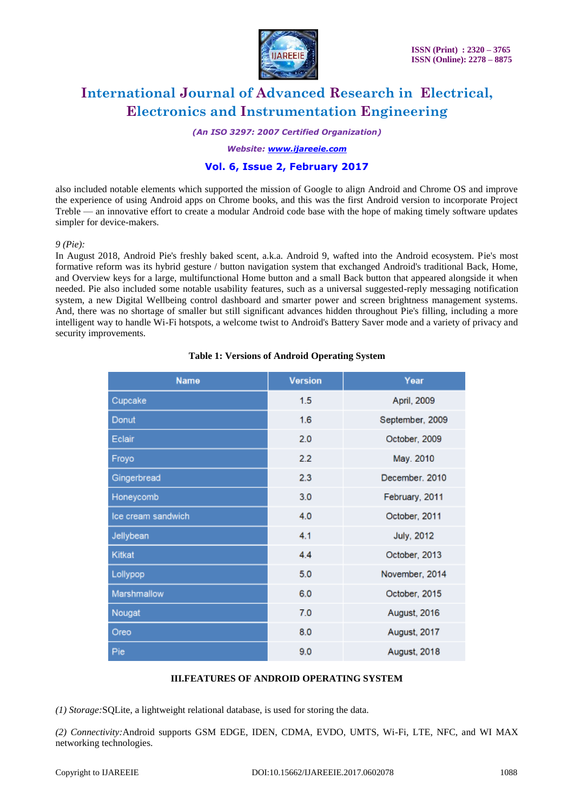

*(An ISO 3297: 2007 Certified Organization)*

*Website: [www.ijareeie.com](http://www.ijareeie.com/)*

# **Vol. 6, Issue 2, February 2017**

also included notable elements which supported the mission of Google to align Android and Chrome OS and improve the experience of using Android apps on Chrome books, and this was the first Android version to incorporate Project Treble — an innovative effort to create a modular Android code base with the hope of making timely software updates simpler for device-makers.

#### *9 (Pie):*

In August 2018, Android Pie's freshly baked scent, a.k.a. Android 9, wafted into the Android ecosystem. Pie's most formative reform was its hybrid gesture / button navigation system that exchanged Android's traditional Back, Home, and Overview keys for a large, multifunctional Home button and a small Back button that appeared alongside it when needed. Pie also included some notable usability features, such as a universal suggested-reply messaging notification system, a new Digital Wellbeing control dashboard and smarter power and screen brightness management systems. And, there was no shortage of smaller but still significant advances hidden throughout Pie's filling, including a more intelligent way to handle Wi-Fi hotspots, a welcome twist to Android's Battery Saver mode and a variety of privacy and security improvements.

|  |  | <b>Table 1: Versions of Android Operating System</b> |  |  |
|--|--|------------------------------------------------------|--|--|
|--|--|------------------------------------------------------|--|--|

| <b>Name</b>        | <b>Version</b> | Year              |
|--------------------|----------------|-------------------|
| Cupcake            | 1.5            | April, 2009       |
| Donut              | 1.6            | September, 2009   |
| Eclair             | 2.0            | October, 2009     |
| Froyo              | 2.2            | May. 2010         |
| Gingerbread        | 2.3            | December, 2010    |
| Honeycomb          | 3.0            | February, 2011    |
| Ice cream sandwich | 4.0            | October, 2011     |
| Jellybean          | 4.1            | <b>July, 2012</b> |
| <b>Kitkat</b>      | 4.4            | October, 2013     |
| Lollypop           | 5.0            | November, 2014    |
| Marshmallow        | 6.0            | October, 2015     |
| Nougat             | 7.0            | August, 2016      |
| Oreo               | 8.0            | August, 2017      |
| Pie                | 9.0            | August, 2018      |

#### **III.FEATURES OF ANDROID OPERATING SYSTEM**

*(1) Storage:*SQLite, a lightweight relational database, is used for storing the data.

*(2) Connectivity:*Android supports GSM EDGE, IDEN, CDMA, EVDO, UMTS, Wi-Fi, LTE, NFC, and WI MAX networking technologies.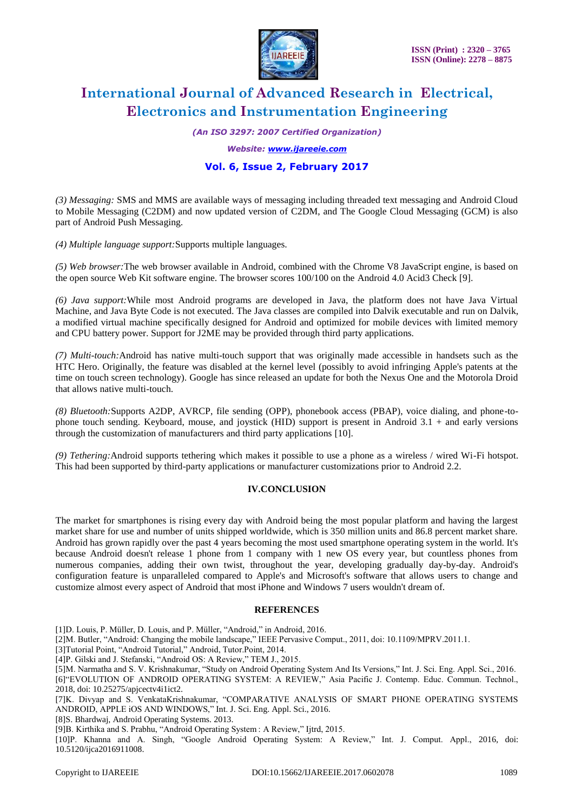

*(An ISO 3297: 2007 Certified Organization)*

*Website: [www.ijareeie.com](http://www.ijareeie.com/)*

# **Vol. 6, Issue 2, February 2017**

*(3) Messaging:* SMS and MMS are available ways of messaging including threaded text messaging and Android Cloud to Mobile Messaging (C2DM) and now updated version of C2DM, and The Google Cloud Messaging (GCM) is also part of Android Push Messaging.

*(4) Multiple language support:*Supports multiple languages.

*(5) Web browser:*The web browser available in Android, combined with the Chrome V8 JavaScript engine, is based on the open source Web Kit software engine. The browser scores 100/100 on the Android 4.0 Acid3 Check [9].

*(6) Java support:*While most Android programs are developed in Java, the platform does not have Java Virtual Machine, and Java Byte Code is not executed. The Java classes are compiled into Dalvik executable and run on Dalvik, a modified virtual machine specifically designed for Android and optimized for mobile devices with limited memory and CPU battery power. Support for J2ME may be provided through third party applications.

*(7) Multi-touch:*Android has native multi-touch support that was originally made accessible in handsets such as the HTC Hero. Originally, the feature was disabled at the kernel level (possibly to avoid infringing Apple's patents at the time on touch screen technology). Google has since released an update for both the Nexus One and the Motorola Droid that allows native multi-touch.

*(8) Bluetooth:*Supports A2DP, AVRCP, file sending (OPP), phonebook access (PBAP), voice dialing, and phone-tophone touch sending. Keyboard, mouse, and joystick (HID) support is present in Android 3.1 + and early versions through the customization of manufacturers and third party applications [10].

*(9) Tethering:*Android supports tethering which makes it possible to use a phone as a wireless / wired Wi-Fi hotspot. This had been supported by third-party applications or manufacturer customizations prior to Android 2.2.

### **IV.CONCLUSION**

The market for smartphones is rising every day with Android being the most popular platform and having the largest market share for use and number of units shipped worldwide, which is 350 million units and 86.8 percent market share. Android has grown rapidly over the past 4 years becoming the most used smartphone operating system in the world. It's because Android doesn't release 1 phone from 1 company with 1 new OS every year, but countless phones from numerous companies, adding their own twist, throughout the year, developing gradually day-by-day. Android's configuration feature is unparalleled compared to Apple's and Microsoft's software that allows users to change and customize almost every aspect of Android that most iPhone and Windows 7 users wouldn't dream of.

#### **REFERENCES**

[1]D. Louis, P. Müller, D. Louis, and P. Müller, "Android," in Android, 2016.

[2]M. Butler, "Android: Changing the mobile landscape," IEEE Pervasive Comput., 2011, doi: 10.1109/MPRV.2011.1.

[3]Tutorial Point, "Android Tutorial," Android, Tutor.Point, 2014.

[4]P. Gilski and J. Stefanski, "Android OS: A Review," TEM J., 2015.

[5]M. Narmatha and S. V. Krishnakumar, "Study on Android Operating System And Its Versions," Int. J. Sci. Eng. Appl. Sci., 2016. [6]"EVOLUTION OF ANDROID OPERATING SYSTEM: A REVIEW," Asia Pacific J. Contemp. Educ. Commun. Technol., 2018, doi: 10.25275/apjcectv4i1ict2.

[7]K. Divyap and S. VenkataKrishnakumar, "COMPARATIVE ANALYSIS OF SMART PHONE OPERATING SYSTEMS ANDROID, APPLE iOS AND WINDOWS," Int. J. Sci. Eng. Appl. Sci., 2016.

[8]S. Bhardwaj, Android Operating Systems. 2013.

[9]B. Kirthika and S. Prabhu, "Android Operating System : A Review," Ijtrd, 2015.

[10]P. Khanna and A. Singh, "Google Android Operating System: A Review," Int. J. Comput. Appl., 2016, doi: 10.5120/ijca2016911008.